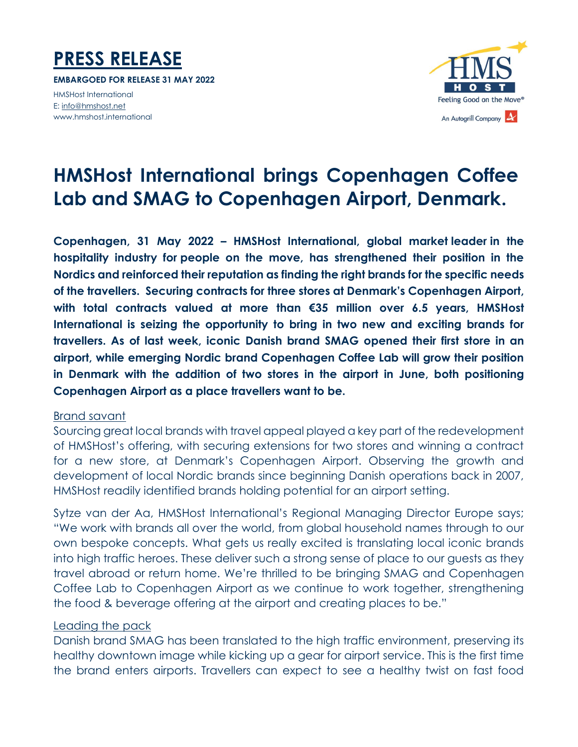

**EMBARGOED FOR RELEASE 31 MAY 2022**

HMSHost International E[: info@hmshost.net](mailto:info@hmshost.net) www.hmshost.international



# **HMSHost International brings Copenhagen Coffee Lab and SMAG to Copenhagen Airport, Denmark.**

**Copenhagen, 31 May 2022 – HMSHost International, global market leader in the hospitality industry for people on the move, has strengthened their position in the Nordics and reinforced their reputation as finding the right brands for the specific needs of the travellers. Securing contracts for three stores at Denmark's Copenhagen Airport, with total contracts valued at more than €35 million over 6.5 years, HMSHost International is seizing the opportunity to bring in two new and exciting brands for travellers. As of last week, iconic Danish brand SMAG opened their first store in an airport, while emerging Nordic brand Copenhagen Coffee Lab will grow their position in Denmark with the addition of two stores in the airport in June, both positioning Copenhagen Airport as a place travellers want to be.** 

#### Brand savant

Sourcing great local brands with travel appeal played a key part of the redevelopment of HMSHost's offering, with securing extensions for two stores and winning a contract for a new store, at Denmark's Copenhagen Airport. Observing the growth and development of local Nordic brands since beginning Danish operations back in 2007, HMSHost readily identified brands holding potential for an airport setting.

Sytze van der Aa, HMSHost International's Regional Managing Director Europe says; "We work with brands all over the world, from global household names through to our own bespoke concepts. What gets us really excited is translating local iconic brands into high traffic heroes. These deliver such a strong sense of place to our guests as they travel abroad or return home. We're thrilled to be bringing SMAG and Copenhagen Coffee Lab to Copenhagen Airport as we continue to work together, strengthening the food & beverage offering at the airport and creating places to be."

#### Leading the pack

Danish brand SMAG has been translated to the high traffic environment, preserving its healthy downtown image while kicking up a gear for airport service. This is the first time the brand enters airports. Travellers can expect to see a healthy twist on fast food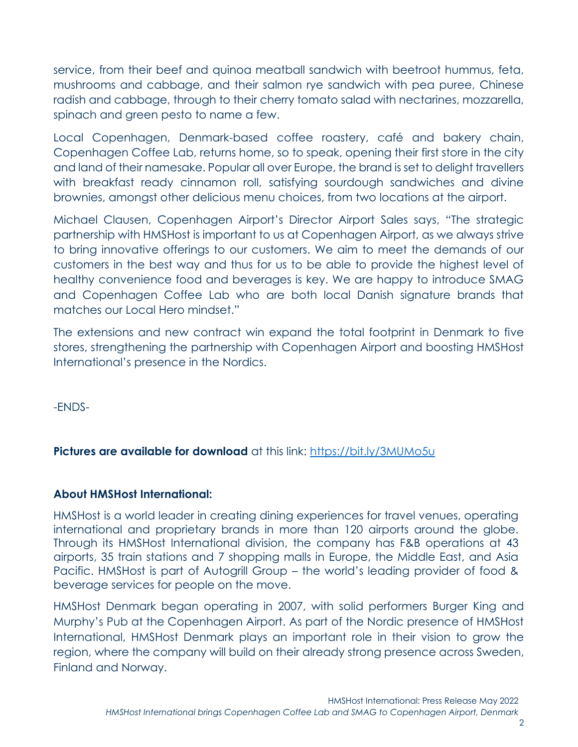service, from their beef and quinoa meatball sandwich with beetroot hummus, feta, mushrooms and cabbage, and their salmon rye sandwich with pea puree, Chinese radish and cabbage, through to their cherry tomato salad with nectarines, mozzarella, spinach and green pesto to name a few.

Local Copenhagen, Denmark-based coffee roastery, café and bakery chain, Copenhagen Coffee Lab, returns home, so to speak, opening their first store in the city and land of their namesake. Popular all over Europe, the brand is set to delight travellers with breakfast ready cinnamon roll, satisfying sourdough sandwiches and divine brownies, amongst other delicious menu choices, from two locations at the airport.

Michael Clausen, Copenhagen Airport's Director Airport Sales says, "The strategic partnership with HMSHost is important to us at Copenhagen Airport, as we always strive to bring innovative offerings to our customers. We aim to meet the demands of our customers in the best way and thus for us to be able to provide the highest level of healthy convenience food and beverages is key. We are happy to introduce SMAG and Copenhagen Coffee Lab who are both local Danish signature brands that matches our Local Hero mindset."

The extensions and new contract win expand the total footprint in Denmark to five stores, strengthening the partnership with Copenhagen Airport and boosting HMSHost International's presence in the Nordics.

-ENDS-

## **Pictures are available for download** at this link:<https://bit.ly/3MUMo5u>

## **About HMSHost International:**

HMSHost is a world leader in creating dining experiences for travel venues, operating international and proprietary brands in more than 120 airports around the globe. Through its HMSHost International division, the company has F&B operations at 43 airports, 35 train stations and 7 shopping malls in Europe, the Middle East, and Asia Pacific. HMSHost is part of Autogrill Group – the world's leading provider of food & beverage services for people on the move.

HMSHost Denmark began operating in 2007, with solid performers Burger King and Murphy's Pub at the Copenhagen Airport. As part of the Nordic presence of HMSHost International, HMSHost Denmark plays an important role in their vision to grow the region, where the company will build on their already strong presence across Sweden, Finland and Norway.